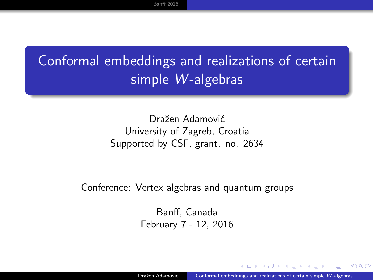### <span id="page-0-0"></span>Conformal embeddings and realizations of certain simple *W* -algebras

Dražen Adamović University of Zagreb, Croatia Supported by CSF, grant. no. 2634

Conference: Vertex algebras and quantum groups

Banff, Canada February 7 - 12, 2016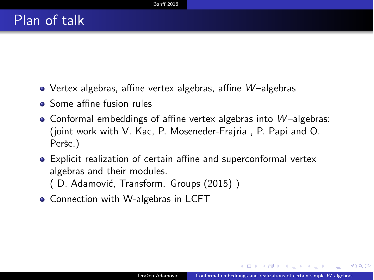- <span id="page-1-0"></span>• Vertex algebras, affine vertex algebras, affine *W*-algebras
- **o** Some affine fusion rules
- Conformal embeddings of affine vertex algebras into *W*-algebras: (joint work with V. Kac, P. Moseneder-Frajria , P. Papi and O. Perše.)
- Explicit realization of certain affine and superconformal vertex algebras and their modules.
	- (D. Adamović, Transform. Groups (2015))
- Connection with W-algebras in LCFT

 $209$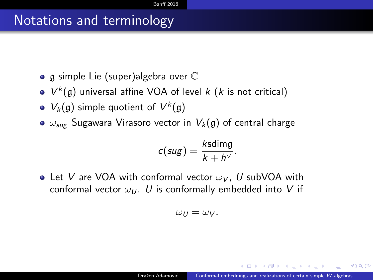#### Notations and terminology

- $\bullet$  g simple Lie (super)algebra over  $\mathbb C$
- $V^k(\mathfrak{g})$  universal affine VOA of level *k* (*k* is not critical)
- $V_k(\mathfrak{g})$  simple quotient of  $V^k(\mathfrak{g})$
- $\bullet$   $\omega_{\text{sur}}$  Sugawara Virasoro vector in  $V_k(\mathfrak{g})$  of central charge

$$
c(sug) = \frac{k \text{sdimg}}{k + h^{\vee}}.
$$

• Let *V* are VOA with conformal vector  $\omega_V$ , *U* subVOA with conformal vector  $\omega_{U}$ . *U* is conformally embedded into *V* if

$$
\omega_U=\omega_V.
$$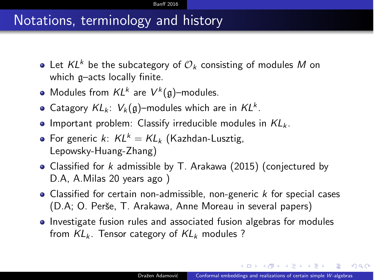#### Notations, terminology and history

- Let  $KL^k$  be the subcategory of  $\mathcal{O}_k$  consisting of modules M on which g–acts locally finite.
- Modules from *KL<sup>k</sup>* are *V<sup>k</sup>* (g)–modules.
- Catagory  $KL_k$ :  $V_k(g)$ -modules which are in  $KL^k$ .
- **•** Important problem: Classify irreducible modules in  $KL_k$ .
- For generic *k*:  $KL^k = KL_k$  (Kazhdan-Lusztig, Lepowsky-Huang-Zhang)
- Classified for *k* admissible by T. Arakawa (2015) (conjectured by D.A, A.Milas 20 years ago )
- Classified for certain non-admissible, non-generic *k* for special cases (D.A; O. Perˇse, T. Arakawa, Anne Moreau in several papers)
- Investigate fusion rules and associated fusion algebras for modules from *KL<sup>k</sup>* . Tensor category of *KL<sup>k</sup>* modules ?

 $209$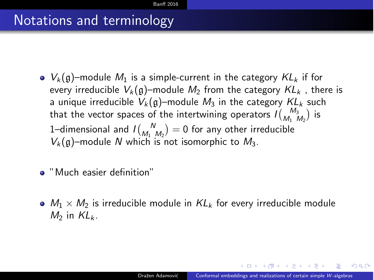#### Notations and terminology

- $V_k(g)$ –module  $M_1$  is a simple-current in the category  $KL_k$  if for every irreducible  $V_k(q)$ –module  $M_2$  from the category  $KL_k$ , there is a unique irreducible  $V_k(\mathfrak{g})$ -module  $M_3$  in the category  $KL_k$  such that the vector spaces of the intertwining operators  $I\binom{M_3}{M_1\ M_2}$  is 1–dimensional and  $I\begin{pmatrix} N \\ M_1 M_2 \end{pmatrix} = 0$  for any other irreducible  $V_k(\mathfrak{g})$ –module *N* which is not isomorphic to  $M_3$ .
- "Much easier definition"
- $M_1 \times M_2$  is irreducible module in  $KL_k$  for every irreducible module  $M_2$  in  $KL_k$ .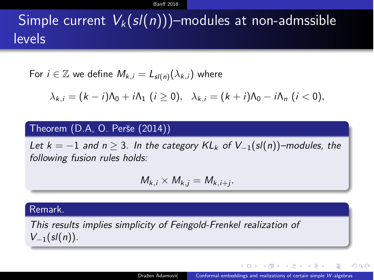#### **Banff [2016](#page-1-0)**

### Simple current  $V_k(sl(n))$ –modules at non-admssible levels

For 
$$
i \in \mathbb{Z}
$$
 we define  $M_{k,i} = L_{sl(n)}(\lambda_{k,i})$  where

$$
\lambda_{k,i}=(k-i)\Lambda_0+i\Lambda_1\ (i\geq 0),\ \ \lambda_{k,i}=(k+i)\Lambda_0-i\Lambda_n\ (i<0),
$$

#### Theorem (D.A, O. Perše (2014))

*Let*  $k = -1$  *and*  $n \geq 3$ *. In the category*  $KL_k$  *of*  $V_{-1}(sl(n))$ –modules, the *following fusion rules holds:*

$$
M_{k,i}\times M_{k,j}=M_{k,i+j}.
$$

#### Remark.

*This results implies simplicity of Feingold-Frenkel realization of*  $V_{-1}(sl(n))$ .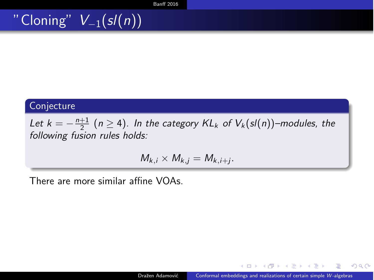### " Cloning"  $V_{-1}(sl(n))$

#### Conjecture

Let  $k = -\frac{n+1}{2}$  ( $n \ge 4$ ). In the category  $KL_k$  of  $V_k(sl(n))$ –modules, the *following fusion rules holds:*

$$
M_{k,i}\times M_{k,j}=M_{k,i+j}.
$$

There are more similar affine VOAs.

 $2990$ 

きょうきょ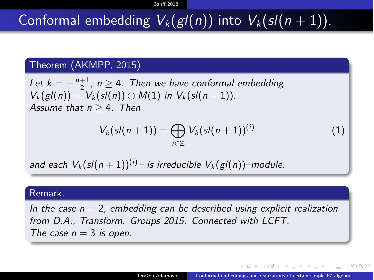## Conformal embedding  $V_k(g/(n))$  into  $V_k(sl(n+1))$ .

#### Theorem (AKMPP, 2015)

Let  $k = -\frac{n+1}{2}$ ,  $n \ge 4$ . Then we have conformal embedding  $V_k(gI(n)) = V_k(sl(n)) \otimes M(1)$  *in*  $V_k(sl(n+1))$ . Assume that  $n > 4$ . Then

$$
V_k(sl(n+1)) = \bigoplus_{i \in \mathbb{Z}} V_k(sl(n+1))^{(i)} \qquad (1)
$$

*and each*  $V_k(sl(n+1))^{(i)}$  – *is irreducible*  $V_k(gl(n))$  –module.

#### Remark.

*In the case n* = 2*, embedding can be described using explicit realization from D.A., Transform. Groups 2015. Connected with LCFT. The case*  $n = 3$  *is open.* 

桐 レース ヨーマ ヨーマ

 $209$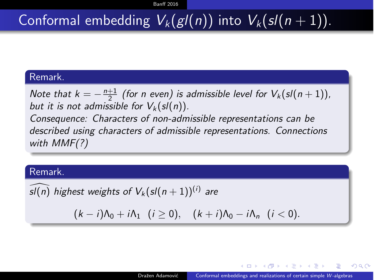### Conformal embedding  $V_k(g/(n))$  into  $V_k(sl(n+1))$ .

#### Remark.

*Note that*  $k = -\frac{n+1}{2}$  *(for n even) is admissible level for*  $V_k(sl(n+1))$ *, but it is not admissible for*  $V_k(sl(n))$ *. Consequence: Characters of non-admissible representations can be described using characters of admissible representations. Connections with MMF(?)*

#### Remark.

*sl*(*n*) *highest weights of*  $V_k$  (*sl*(*n* + 1))<sup>(*i*)</sup> *are* 

 $(k - i)\Lambda_0 + i\Lambda_1$   $(i \ge 0)$ ,  $(k + i)\Lambda_0 - i\Lambda_n$   $(i < 0)$ .

 $209$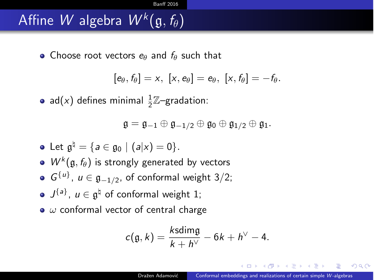### Affine *W* algebra  $W^{k}(\mathfrak{g}, f_{\theta})$

■ Choose root vectors *e*<sup>*a*</sup> and *f*<sup>*a*</sup> such that

$$
[e_{\theta},f_{\theta}]=x, [x,e_{\theta}]=e_{\theta}, [x,f_{\theta}]=-f_{\theta}.
$$

ad(*x*) defines minimal  $\frac{1}{2}\mathbb{Z}$ -gradation:

$$
\mathfrak{g}=\mathfrak{g}_{-1}\oplus\mathfrak{g}_{-1/2}\oplus\mathfrak{g}_0\oplus\mathfrak{g}_{1/2}\oplus\mathfrak{g}_1.
$$

• Let 
$$
\mathfrak{g}^{\natural} = \{a \in \mathfrak{g}_0 \mid (a|x) = 0\}.
$$

• 
$$
W^k(\mathfrak{g}, f_\theta)
$$
 is strongly generated by vectors

• 
$$
G^{\{u\}}
$$
,  $u \in \mathfrak{g}_{-1/2}$ , of conformal weight 3/2;

- $J^{\{a\}}$ ,  $u \in \mathfrak{g}^{\dagger}$  of conformal weight 1;
- $\bullet$   $\omega$  conformal vector of central charge

$$
c(\mathfrak{g},k)=\frac{k\text{sdimg}}{k+h^{\vee}}-6k+h^{\vee}-4.
$$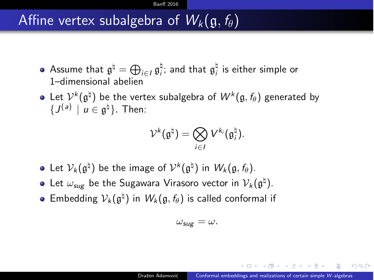### Affine vertex subalgebra of  $W_k(\mathfrak{g}, f_{\theta})$

- Assume that  $\mathfrak{g}^{\natural} = \bigoplus_{i \in I} \mathfrak{g}^{\natural}_i$ ; and that  $\mathfrak{g}^{\natural}_i$  is either simple or 1–dimensional abelien
- Let  $V^k(\mathfrak{g}^{\natural})$  be the vertex subalgebra of  $W^k(\mathfrak{g}, f_{\theta})$  generated by  ${f}$  ${f}$ <sup> ${a}$ </sup> $i$   $|$   $u \in \mathfrak{g}^{\natural}$ . Then:

$$
\mathcal{V}^k(\mathfrak{g}^{\natural}) = \bigotimes_{i \in I} V^{k_i}(\mathfrak{g}_i^{\natural}).
$$

- Let  $V_k(\mathfrak{g}^{\natural})$  be the image of  $V^k(\mathfrak{g}^{\natural})$  in  $W_k(\mathfrak{g}, f_{\theta})$ .
- Let  $\omega_{\text{sug}}$  be the Sugawara Virasoro vector in  $\mathcal{V}_k(\mathfrak{g}^{\natural})$ .
- **E**mbedding  $V_k(\mathfrak{g}^{\natural})$  in  $W_k(\mathfrak{g}, f_{\theta})$  is called conformal if

$$
\omega_{\rm sug}=\omega.
$$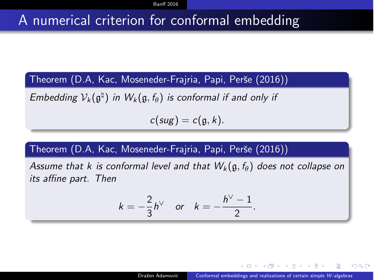#### A numerical criterion for conformal embedding

Theorem (D.A, Kac, Moseneder-Frajria, Papi, Perše (2016))

*Embedding*  $V_k(\mathfrak{g}^{\natural})$  *in*  $W_k(\mathfrak{g}, f_{\theta})$  *is conformal if and only if* 

 $c(sug) = c(g, k)$ .

#### Theorem (D.A, Kac, Moseneder-Frajria, Papi, Perše (2016))

*Assume that k is conformal level and that*  $W_k(\mathfrak{g}, f_{\theta})$  *does not collapse on its affine part.* Then

$$
k=-\frac{2}{3}h^{\vee} \quad \text{or} \quad k=-\frac{h^{\vee}-1}{2}.
$$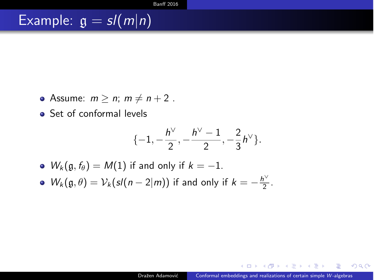### Example:  $g = sl(m|n)$

- Assume:  $m \ge n$ ;  $m \ne n+2$ .
- Set of conformal levels

$$
\{-1, -\frac{h^{\vee}}{2}, -\frac{h^{\vee}-1}{2}, -\frac{2}{3}h^{\vee}\}.
$$

- $W_k(\mathfrak{g}, f_\theta) = M(1)$  if and only if  $k = -1$ .
- $W_k(\mathfrak{g}, \theta) = \mathcal{V}_k(\mathfrak{sl}(n-2|m))$  if and only if  $k = -\frac{h^{\vee}}{2}$ .

 $QQ$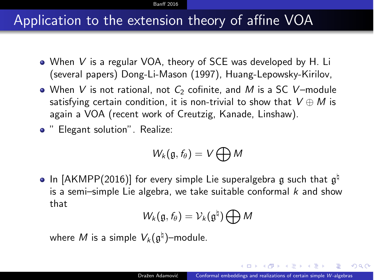#### **Banff** [2016](#page-1-0)

#### Application to the extension theory of affine VOA

- When *V* is a regular VOA, theory of SCE was developed by H. Li (several papers) Dong-Li-Mason (1997), Huang-Lepowsky-Kirilov,
- When *V* is not rational, not *C*<sub>2</sub> cofinite, and *M* is a SC *V*-module satisfying certain condition, it is non-trivial to show that  $V \oplus M$  is again a VOA (recent work of Creutzig, Kanade, Linshaw).
- " Elegant solution". Realize:

$$
W_k(\mathfrak{g},f_\theta)=V\bigoplus M
$$

• In [AKMPP(2016)] for every simple Lie superalgebra g such that  $\mathfrak{g}^{\natural}$ is a semi–simple Lie algebra, we take suitable conformal *k* and show that

$$
W_k(\mathfrak{g},f_\theta)=\mathcal{V}_k(\mathfrak{g}^\natural)\bigoplus M
$$

where *M* is a simple  $V_k(\mathfrak{a}^{\natural})$ –module.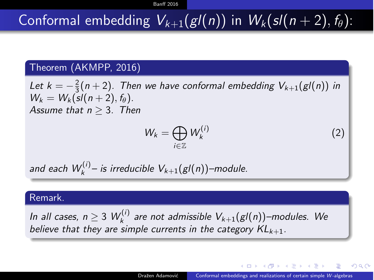## Conformal embedding  $V_{k+1}(gl(n))$  in  $W_k(sl(n+2), f_\theta)$ :

#### Theorem (AKMPP, 2016)

Let  $k = -\frac{2}{3}(n+2)$ . Then we have conformal embedding  $V_{k+1}(gl(n))$  in  $W_k = W_k({\rm sl}(n+2), f_\theta).$ *Assume that*  $n > 3$ *. Then* 

$$
W_k = \bigoplus_{i \in \mathbb{Z}} W_k^{(i)} \tag{2}
$$

and each  $W_k^{(i)}$ – is irreducible  $V_{k+1}(gl(n))$ –module.

#### Remark.

*In all cases, n*  $\geq$  3  $W_k^{(i)}$  *are not admissible*  $V_{k+1}(gl(n))$ –modules. We *believe that they are simple currents in the category KLk*+1*.*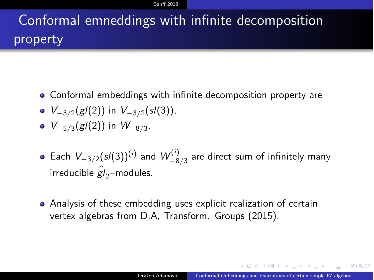**Banff** [2016](#page-1-0)

## Conformal emneddings with infinite decomposition property

- Conformal embeddings with infinite decomposition property are
- $V_{-3/2}(gl(2))$  in  $V_{-3/2}(sl(3))$ ,
- $V_{-5/3}(gl(2))$  in  $W_{-8/3}$ .
- Each  $V_{-3/2}(s/(3))^{(i)}$  and  $W_{-8/3}^{(i)}$  are direct sum of infinitely many  $i$ rreducible  $\widehat{gl}_2$ –modules.
- Analysis of these embedding uses explicit realization of certain vertex algebras from D.A, Transform. Groups (2015).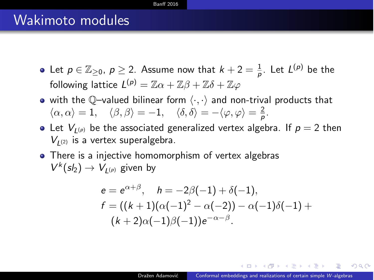#### **Banff** [2016](#page-1-0)

#### Wakimoto modules

- Let  $p \in \mathbb{Z}_{\geq 0}$ ,  $p \geq 2$ . Assume now that  $k + 2 = \frac{1}{p}$ . Let  $L^{(p)}$  be the following lattice  $L^{(p)} = \mathbb{Z}\alpha + \mathbb{Z}\beta + \mathbb{Z}\delta + \mathbb{Z}\varphi$
- with the Q-valued bilinear form  $\langle \cdot, \cdot \rangle$  and non-trival products that  $\langle \alpha, \alpha \rangle = 1, \quad \langle \beta, \beta \rangle = -1, \quad \langle \delta, \delta \rangle = -\langle \varphi, \varphi \rangle = \frac{2}{\rho}.$
- Let  $V_{I(p)}$  be the associated generalized vertex algebra. If  $p = 2$  then  $V_{L(2)}$  is a vertex superalgebra.
- There is a injective homomorphism of vertex algebras  $V^k(sl_2) \rightarrow V^l_{I(p)}$  given by

$$
e = e^{\alpha + \beta}, \quad h = -2\beta(-1) + \delta(-1),
$$
  
\n
$$
f = ((k+1)(\alpha(-1)^2 - \alpha(-2)) - \alpha(-1)\delta(-1) +
$$
  
\n
$$
(k+2)\alpha(-1)\beta(-1))e^{-\alpha-\beta}.
$$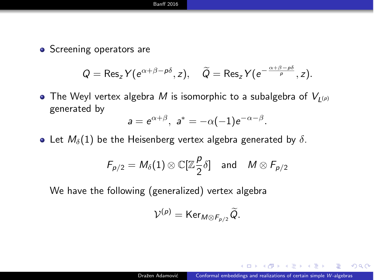#### **Banff [2016](#page-1-0)**

• Screening operators are

$$
Q = \operatorname{Res}_{z} Y(e^{\alpha+\beta-p\delta}, z), \quad \widetilde{Q} = \operatorname{Res}_{z} Y(e^{-\frac{\alpha+\beta-p\delta}{p}}, z).
$$

• The Weyl vertex algebra *M* is isomorphic to a subalgebra of  $V_{L(p)}$ generated by

$$
a=e^{\alpha+\beta},\ a^*=-\alpha(-1)e^{-\alpha-\beta}.
$$

• Let  $M_{\delta}(1)$  be the Heisenberg vertex algebra generated by  $\delta$ .

$$
F_{p/2} = M_{\delta}(1) \otimes \mathbb{C}[\mathbb{Z}\frac{p}{2}\delta] \quad \text{and} \quad M \otimes F_{p/2}
$$

We have the following (generalized) vertex algebra

$$
\mathcal{V}^{(p)} = \text{Ker}_{M \otimes F_{p/2}} \widetilde{Q}.
$$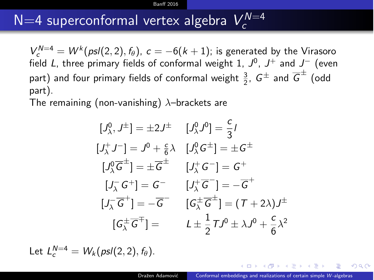#### **Banff** [2016](#page-1-0)

## $N$ =4 superconformal vertex algebra  $V_c^{N=4}$

 $V_c^{N=4} = W^k(psl(2,2), f_\theta)$ ,  $c = -6(k+1)$ ; is generated by the Virasoro field *L*, three primary fields of conformal weight 1,  $J^0$ ,  $J^+$  and  $J^-$  (even part) and four primary fields of conformal weight  $\frac{3}{2}$ ,  $G^{\pm}$  and  $\overline{G}^{\pm}$  (odd part).

The remaining (non-vanishing)  $\lambda$ -brackets are

$$
[J_{\lambda}^{0}, J^{\pm}] = \pm 2J^{\pm} \qquad [J_{\lambda}^{0}, J^{0}] = \frac{c}{3}I
$$
  
\n
$$
[J_{\lambda}^{+}J^{-}] = J^{0} + \frac{c}{6}\lambda \qquad [J_{\lambda}^{0}, G^{\pm}] = \pm G^{\pm}
$$
  
\n
$$
[J_{\lambda}^{0}, \overline{G}^{\pm}] = \pm \overline{G}^{\pm} \qquad [J_{\lambda}^{+}, G^{-}] = G^{+}
$$
  
\n
$$
[J_{\lambda}^{-}, G^{+}] = G^{-} \qquad [J_{\lambda}^{+}, \overline{G}^{-}] = -\overline{G}^{+}
$$
  
\n
$$
[J_{\lambda}^{-}, \overline{G}^{\pm}] = -\overline{G}^{-} \qquad [G_{\lambda}^{\pm}, \overline{G}^{\pm}] = (T + 2\lambda)J^{\pm}
$$
  
\n
$$
[G_{\lambda}^{\pm}, \overline{G}^{\mp}] = \qquad L \pm \frac{1}{2}TJ^{0} \pm \lambda J^{0} + \frac{c}{6}\lambda^{2}
$$

Let  $L_c^{N=4} = W_k(\rho s l(2,2), f_\theta).$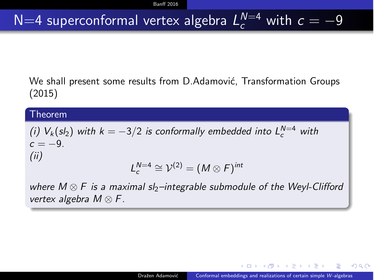## $N=4$  superconformal vertex algebra  $L_c^{N=4}$  with  $c=-9$

We shall present some results from D.Adamović, Transformation Groups (2015)

#### Theorem

*(i)*  $V_k(sl_2)$  *with*  $k = -3/2$  *is conformally embedded into*  $L_c^{N=4}$  *with*  $c = -9.$ *(ii)*  $L_c^{N=4} \cong \mathcal{V}^{(2)} = (M \otimes F)^{int}$ 

*where*  $M \otimes F$  *is a maximal sl<sub>2</sub>–integrable submodule of the Weyl-Clifford vertex algebra M* ⌦ *F.*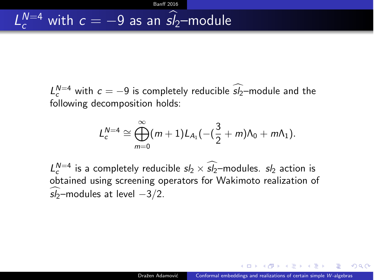$L_c^{N=4}$  with  $c = -9$  is completely reducible  $s/2$ –module and the following decomposition holds:

**Banff** [2016](#page-1-0)

$$
L_c^{N=4}\cong\bigoplus_{m=0}^\infty(m+1)L_{A_1}(-( \frac{3}{2}+m)\Lambda_0+m\Lambda_1).
$$

 $L_c^{N=4}$  is a completely reducible  $s/2 \times s/2$ –modules.  $s/2$  action is obtained using screening operators for Wakimoto realization of  $s/2$ –modules at level  $-3/2$ .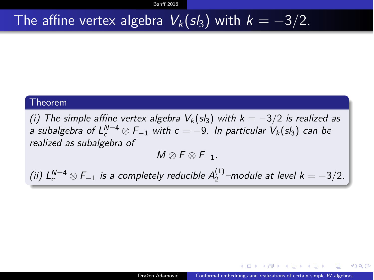### The affine vertex algebra  $V_k(sl_3)$  with  $k = -3/2$ .

#### Theorem

*(i)* The simple affine vertex algebra  $V_k$ (sl<sub>3</sub>) with  $k = -3/2$  is realized as *a* subalgebra of  $L_c^{N=4} \otimes F_{-1}$  with  $c = -9$ . In particular  $V_k(sl_3)$  can be *realized as subalgebra of*

 $M \otimes F \otimes F_{-1}$ .

*(ii)*  $L_c^{N=4} \otimes F_{-1}$  *is a completely reducible*  $A_2^{(1)}$ -module at level  $k = -3/2$ *.*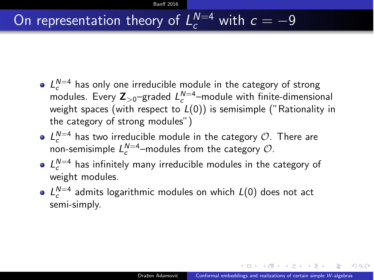## On representation theory of  $L_c^{N=4}$  with  $c = -9$

- $L_c^{N=4}$  has only one irreducible module in the category of strong modules. Every  $\mathsf{Z}_{>0}$ —graded  $L_c^{\mathsf{N}=4}$ —module with finite-dimensional weight spaces (with respect to *L*(0)) is semisimple ("Rationality in the category of strong modules")
- $L_c^{N=4}$  has two irreducible module in the category *O*. There are non-semisimple  $L_c^{N=4}$  –modules from the category  $\mathcal{O}$ .
- $L_c^{N=4}$  has infinitely many irreducible modules in the category of weight modules.
- *L<sup>N</sup>*=4 *<sup>c</sup>* admits logarithmic modules on which *L*(0) does not act semi-simply.

 $209$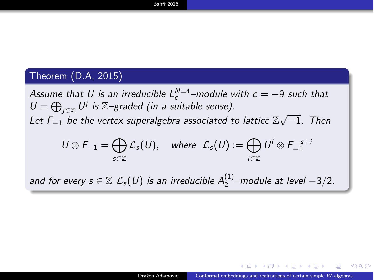#### Theorem (D.A, 2015)

*Assume that U is an irreducible*  $L_c^{N=4}$  *–module with*  $c = -9$  *such that*  $U = \bigoplus_{j \in \mathbb{Z}} U^j$  *is*  $\mathbb{Z}$ *–graded (in a suitable sense).* Let  $F_{-1}$  be the vertex superalgebra associated to lattice  $\mathbb{Z}\sqrt{-1}$ . Then

$$
U\otimes F_{-1}=\bigoplus_{s\in\mathbb{Z}}\mathcal{L}_s(U),\quad\text{where}\quad\mathcal{L}_s(U):=\bigoplus_{i\in\mathbb{Z}}U^i\otimes F_{-1}^{-s+i}
$$

*and for every*  $s \in \mathbb{Z}$   $\mathcal{L}_s(U)$  *is an irreducible*  $A_2^{(1)}$ -module at level  $-3/2$ *.*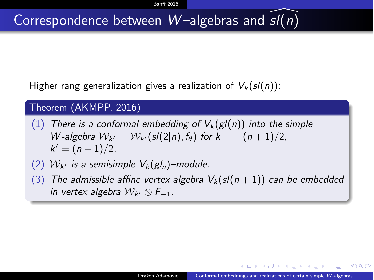### Correspondence between *W* –algebras and *sl*[(*n*)

Higher rang generalization gives a realization of  $V_k(sl(n))$ :

#### Theorem (AKMPP, 2016)

- (1) *There is a conformal embedding of*  $V_k(g/(n))$  *into the simple W*-algebra  $W_{k'} = W_{k'}(sl(2|n), f_{\theta})$  for  $k = -(n+1)/2$ ,  $k' = (n - 1)/2$ .
- (2)  $W_{k'}$  *is a semisimple*  $V_k(gl_n)$ –module.
- $(3)$  *The admissible affine vertex algebra*  $V_k(sl(n+1))$  *can be embedded in vertex algebra*  $W_{k'} \otimes F_{-1}$ .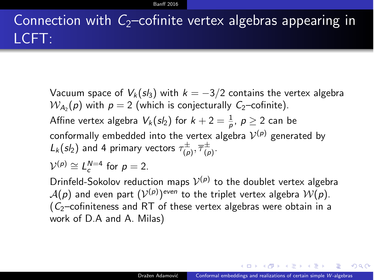### Connection with  $C_2$ –cofinite vertex algebras appearing in LCFT:

Vacuum space of  $V_k(sl_3)$  with  $k = -3/2$  contains the vertex algebra  $W_{A_2}(p)$  with  $p = 2$  (which is conjecturally  $C_2$ –cofinite). Affine vertex algebra  $V_k(sl_2)$  for  $k+2=\frac{1}{p}$ ,  $p\geq 2$  can be conformally embedded into the vertex algebra  $V^{(p)}$  generated by  $L_k(sl_2)$  and 4 primary vectors  $\tau^{\pm}_{(p)}, \overline{\tau}^{\pm}_{(p)}$ .  $V^{(p)} \cong L_c^{N=4}$  for  $p=2$ .

Drinfeld-Sokolov reduction maps  $V^{(p)}$  to the doublet vertex algebra  $A(p)$  and even part  $(V^{(p)})^{even}$  to the triplet vertex algebra  $W(p)$ . (*C*2–cofiniteness and RT of these vertex algebras were obtain in a work of D.A and A. Milas)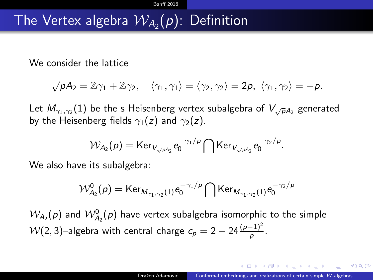### The Vertex algebra  $W_{A_2}(p)$ : Definition

We consider the lattice

$$
\sqrt{\rho}A_2=\mathbb{Z}\gamma_1+\mathbb{Z}\gamma_2,\quad \langle \gamma_1,\gamma_1\rangle=\langle \gamma_2,\gamma_2\rangle=2\rho,\ \langle \gamma_1,\gamma_2\rangle=-\rho.
$$

Let  $M_{\gamma_1,\gamma_2}(1)$  be the s Heisenberg vertex subalgebra of  $V_{\sqrt{\rho}A_2}$  generated by the Heisenberg fields  $\gamma_1(z)$  and  $\gamma_2(z)$ .

$$
\mathcal{W}_{A_2}(p) = \text{Ker}_{V_{\sqrt{p}A_2}} e_0^{-\gamma_1/p} \bigcap \text{Ker}_{V_{\sqrt{p}A_2}} e_0^{-\gamma_2/p}.
$$

We also have its subalgebra:

$$
\mathcal{W}^{0}_{A_{2}}(\rho)=\text{Ker}_{M_{\gamma_{1},\gamma_{2}}(1)}\text{e}_{0}^{-\gamma_{1}/\rho}\bigcap\text{Ker}_{M_{\gamma_{1},\gamma_{2}}(1)}\text{e}_{0}^{-\gamma_{2}/\rho}
$$

 $\mathcal{W}_{A_2}(\rho)$  and  $\mathcal{W}_{A_2}^0(\rho)$  have vertex subalgebra isomorphic to the simple  $\mathcal{W}(2,3)$ —algebra with central charge  $c_p = 2 - 24 \frac{(p-1)^2}{p}$ .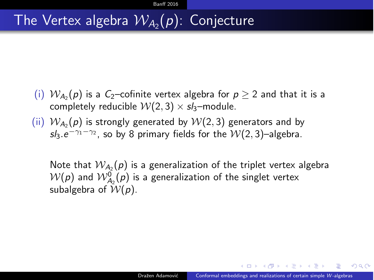### The Vertex algebra  $W_{A_2}(p)$ : Conjecture

- (i)  $W_{A_2}(p)$  is a *C*<sub>2</sub>–cofinite vertex algebra for  $p > 2$  and that it is a completely reducible  $W(2, 3) \times s/s$ –module.
- (ii)  $W_{A_2}(p)$  is strongly generated by  $W(2, 3)$  generators and by  $s/3. e^{-\gamma_1 - \gamma_2}$ , so by 8 primary fields for the  $W(2, 3)$ –algebra.

Note that  $W_{A_2}(p)$  is a generalization of the triplet vertex algebra  $\mathcal{W}(p)$  and  $\mathcal{W}_{A_2}^0(p)$  is a generalization of the singlet vertex subalgebra of *W*(*p*).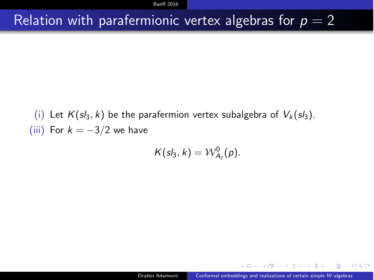**Banff** [2016](#page-1-0)

### Relation with parafermionic vertex algebras for  $p = 2$

(i) Let  $K(sl_3, k)$  be the parafermion vertex subalgebra of  $V_k(sl_3)$ . (iii) For  $k = -3/2$  we have

$$
K(sl_3,k) = \mathcal{W}_{A_2}^0(p).
$$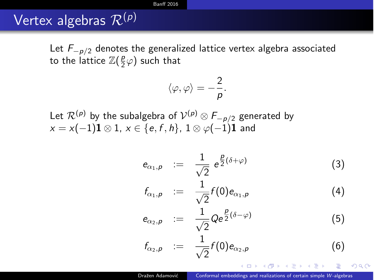#### **Banff** [2016](#page-1-0)

### Vertex algebras *<sup>R</sup>*(*p*)

Let  $F_{p/2}$  denotes the generalized lattice vertex algebra associated to the lattice  $\mathbb{Z}(\frac{p}{2}\varphi)$  such that

$$
\langle \varphi, \varphi \rangle = -\frac{2}{p}.
$$

Let  $\mathcal{R}^{(p)}$  by the subalgebra of  $\mathcal{V}^{(p)} \otimes F_{-p/2}$  generated by  $x = x(-1)$ **1**  $\otimes$  1,  $x \in \{e, f, h\}$ ,  $1 \otimes \varphi(-1)$ **1** and

$$
e_{\alpha_1,\rho} \quad := \quad \frac{1}{\sqrt{2}} \, e^{\frac{p}{2}(\delta+\varphi)} \tag{3}
$$

$$
f_{\alpha_1,p} \;\; := \;\; \frac{1}{\sqrt{2}} f(0) e_{\alpha_1,p} \tag{4}
$$

$$
e_{\alpha_2,\rho} \quad := \quad \frac{1}{\sqrt{2}} Q e^{\frac{\rho}{2}(\delta-\varphi)} \tag{5}
$$

$$
f_{\alpha_2,\rho} \quad := \quad \frac{1}{\sqrt{2}} f(0) e_{\alpha_2,\rho} \tag{6}
$$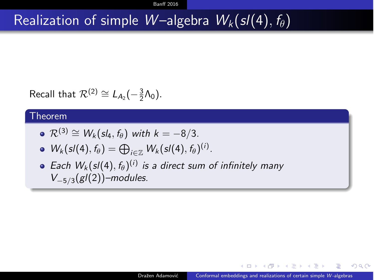### Realization of simple *W* – algebra  $W_k(sl(4), f_{\theta})$

Recall that  $\mathcal{R}^{(2)} \cong L_{A_2}(-\frac{3}{2}\Lambda_0)$ .

#### Theorem

• 
$$
\mathcal{R}^{(3)} \cong W_k(sl_4, f_\theta)
$$
 with  $k = -8/3$ .

• 
$$
W_k(sl(4), f_\theta) = \bigoplus_{i \in \mathbb{Z}} W_k(sl(4), f_\theta)^{(i)}
$$
.

• Each  $W_k(sl(4), f_\theta)^{(i)}$  *is a direct sum of infinitely many*  $V_{-5/3}(gl(2))$ –modules.